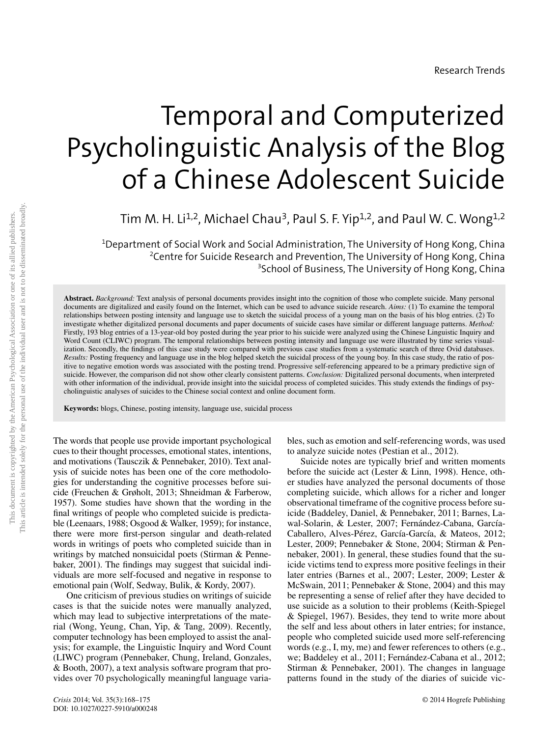# Temporal and Computerized Psycholinguistic Analysis of the Blog of a Chinese Adolescent Suicide

Tim M. H. Li<sup>1,2</sup>, Michael Chau<sup>3</sup>, Paul S. F. Yip<sup>1,2</sup>, and Paul W. C. Wong<sup>1,2</sup>

 $^{\rm 1}$ Department of Social Work and Social Administration, The University of Hong Kong, China <sup>2</sup>Centre for Suicide Research and Prevention, The University of Hong Kong, China 3 School of Business, The University of Hong Kong, China

**Abstract.** *Background:* Text analysis of personal documents provides insight into the cognition of those who complete suicide. Many personal documents are digitalized and easily found on the Internet, which can be used to advance suicide research. *Aims:* (1) To examine the temporal relationships between posting intensity and language use to sketch the suicidal process of a young man on the basis of his blog entries. (2) To investigate whether digitalized personal documents and paper documents of suicide cases have similar or different language patterns. *Method:* Firstly, 193 blog entries of a 13-year-old boy posted during the year prior to his suicide were analyzed using the Chinese Linguistic Inquiry and Word Count (CLIWC) program. The temporal relationships between posting intensity and language use were illustrated by time series visualization. Secondly, the findings of this case study were compared with previous case studies from a systematic search of three Ovid databases. *Results:* Posting frequency and language use in the blog helped sketch the suicidal process of the young boy. In this case study, the ratio of positive to negative emotion words was associated with the posting trend. Progressive self-referencing appeared to be a primary predictive sign of suicide. However, the comparison did not show other clearly consistent patterns. *Conclusion:* Digitalized personal documents, when interpreted with other information of the individual, provide insight into the suicidal process of completed suicides. This study extends the findings of psycholinguistic analyses of suicides to the Chinese social context and online document form.

**Keywords:** blogs, Chinese, posting intensity, language use, suicidal process

The words that people use provide important psychological cues to their thought processes, emotional states, intentions, and motivations (Tausczik & Pennebaker, 2010). Text analysis of suicide notes has been one of the core methodologies for understanding the cognitive processes before suicide (Freuchen & Grøholt, 2013; Shneidman & Farberow, 1957). Some studies have shown that the wording in the final writings of people who completed suicide is predictable (Leenaars, 1988; Osgood & Walker, 1959); for instance, there were more first-person singular and death-related words in writings of poets who completed suicide than in writings by matched nonsuicidal poets (Stirman & Pennebaker, 2001). The findings may suggest that suicidal individuals are more self-focused and negative in response to emotional pain (Wolf, Sedway, Bulik, & Kordy, 2007).

One criticism of previous studies on writings of suicide cases is that the suicide notes were manually analyzed, which may lead to subjective interpretations of the material (Wong, Yeung, Chan, Yip, & Tang, 2009). Recently, computer technology has been employed to assist the analysis; for example, the Linguistic Inquiry and Word Count (LIWC) program (Pennebaker, Chung, Ireland, Gonzales, & Booth, 2007), a text analysis software program that provides over 70 psychologically meaningful language variables, such as emotion and self-referencing words, was used to analyze suicide notes (Pestian et al., 2012).

Suicide notes are typically brief and written moments before the suicide act (Lester & Linn, 1998). Hence, other studies have analyzed the personal documents of those completing suicide, which allows for a richer and longer observational timeframe of the cognitive process before suicide (Baddeley, Daniel, & Pennebaker, 2011; Barnes, Lawal-Solarin, & Lester, 2007; Fernández-Cabana, García-Caballero, Alves-Pérez, García-García, & Mateos, 2012; Lester, 2009; Pennebaker & Stone, 2004; Stirman & Pennebaker, 2001). In general, these studies found that the suicide victims tend to express more positive feelings in their later entries (Barnes et al., 2007; Lester, 2009; Lester & McSwain, 2011; Pennebaker & Stone, 2004) and this may be representing a sense of relief after they have decided to use suicide as a solution to their problems (Keith-Spiegel & Spiegel, 1967). Besides, they tend to write more about the self and less about others in later entries; for instance, people who completed suicide used more self-referencing words (e.g., I, my, me) and fewer references to others (e.g., we; Baddeley et al., 2011; Fernández-Cabana et al., 2012; Stirman & Pennebaker, 2001). The changes in language patterns found in the study of the diaries of suicide vic-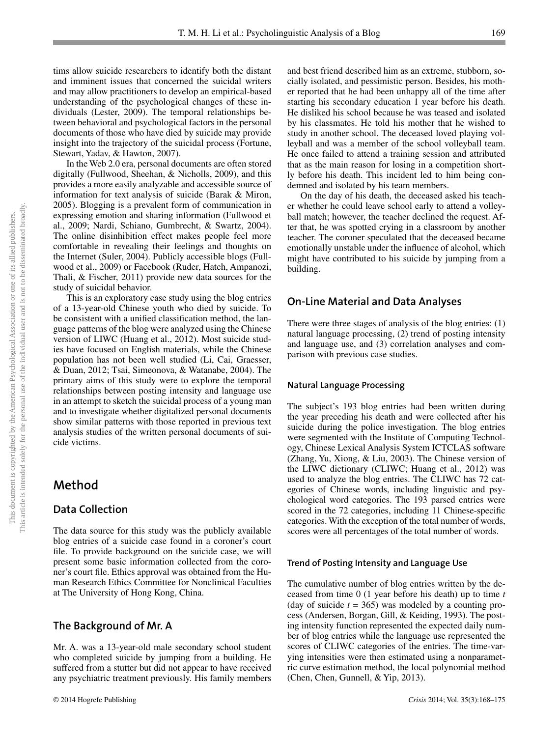tims allow suicide researchers to identify both the distant and imminent issues that concerned the suicidal writers and may allow practitioners to develop an empirical-based understanding of the psychological changes of these individuals (Lester, 2009). The temporal relationships between behavioral and psychological factors in the personal documents of those who have died by suicide may provide insight into the trajectory of the suicidal process (Fortune, Stewart, Yadav, & Hawton, 2007).

In the Web 2.0 era, personal documents are often stored digitally (Fullwood, Sheehan, & Nicholls, 2009), and this provides a more easily analyzable and accessible source of information for text analysis of suicide (Barak & Miron, 2005). Blogging is a prevalent form of communication in expressing emotion and sharing information (Fullwood et al., 2009; Nardi, Schiano, Gumbrecht, & Swartz, 2004). The online disinhibition effect makes people feel more comfortable in revealing their feelings and thoughts on the Internet (Suler, 2004). Publicly accessible blogs (Fullwood et al., 2009) or Facebook (Ruder, Hatch, Ampanozi, Thali, & Fischer, 2011) provide new data sources for the study of suicidal behavior.

This is an exploratory case study using the blog entries of a 13-year-old Chinese youth who died by suicide. To be consistent with a unified classification method, the language patterns of the blog were analyzed using the Chinese version of LIWC (Huang et al., 2012). Most suicide studies have focused on English materials, while the Chinese population has not been well studied (Li, Cai, Graesser, & Duan, 2012; Tsai, Simeonova, & Watanabe, 2004). The primary aims of this study were to explore the temporal relationships between posting intensity and language use in an attempt to sketch the suicidal process of a young man and to investigate whether digitalized personal documents show similar patterns with those reported in previous text analysis studies of the written personal documents of suicide victims.

# **Method**

## **Data Collection**

The data source for this study was the publicly available blog entries of a suicide case found in a coroner's court file. To provide background on the suicide case, we will present some basic information collected from the coroner's court file. Ethics approval was obtained from the Human Research Ethics Committee for Nonclinical Faculties at The University of Hong Kong, China.

# **The Background of Mr. A**

Mr. A. was a 13-year-old male secondary school student who completed suicide by jumping from a building. He suffered from a stutter but did not appear to have received any psychiatric treatment previously. His family members

and best friend described him as an extreme, stubborn, socially isolated, and pessimistic person. Besides, his mother reported that he had been unhappy all of the time after starting his secondary education 1 year before his death. He disliked his school because he was teased and isolated by his classmates. He told his mother that he wished to study in another school. The deceased loved playing volleyball and was a member of the school volleyball team. He once failed to attend a training session and attributed that as the main reason for losing in a competition shortly before his death. This incident led to him being condemned and isolated by his team members.

On the day of his death, the deceased asked his teacher whether he could leave school early to attend a volleyball match; however, the teacher declined the request. After that, he was spotted crying in a classroom by another teacher. The coroner speculated that the deceased became emotionally unstable under the influence of alcohol, which might have contributed to his suicide by jumping from a building.

## **On-Line Material and Data Analyses**

There were three stages of analysis of the blog entries: (1) natural language processing, (2) trend of posting intensity and language use, and (3) correlation analyses and comparison with previous case studies.

#### **Natural Language Processing**

The subject's 193 blog entries had been written during the year preceding his death and were collected after his suicide during the police investigation. The blog entries were segmented with the Institute of Computing Technology, Chinese Lexical Analysis System ICTCLAS software (Zhang, Yu, Xiong, & Liu, 2003). The Chinese version of the LIWC dictionary (CLIWC; Huang et al., 2012) was used to analyze the blog entries. The CLIWC has 72 categories of Chinese words, including linguistic and psychological word categories. The 193 parsed entries were scored in the 72 categories, including 11 Chinese-specific categories. With the exception of the total number of words, scores were all percentages of the total number of words.

#### **Trend of Posting Intensity and Language Use**

The cumulative number of blog entries written by the deceased from time 0 (1 year before his death) up to time *t* (day of suicide  $t = 365$ ) was modeled by a counting process (Andersen, Borgan, Gill, & Keiding, 1993). The posting intensity function represented the expected daily number of blog entries while the language use represented the scores of CLIWC categories of the entries. The time-varying intensities were then estimated using a nonparametric curve estimation method, the local polynomial method (Chen, Chen, Gunnell, & Yip, 2013).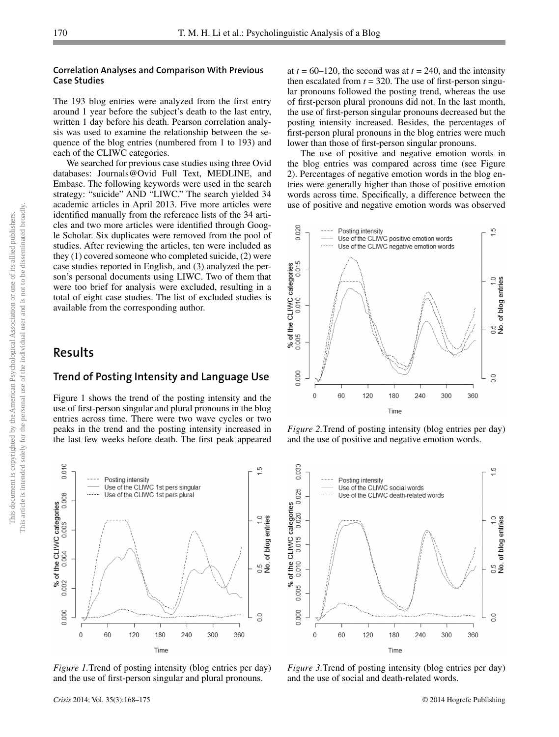#### **Correlation Analyses and Comparison With Previous Case Studies**

The 193 blog entries were analyzed from the first entry around 1 year before the subject's death to the last entry, written 1 day before his death. Pearson correlation analysis was used to examine the relationship between the sequence of the blog entries (numbered from 1 to 193) and each of the CLIWC categories.

We searched for previous case studies using three Ovid databases: Journals@Ovid Full Text, MEDLINE, and Embase. The following keywords were used in the search strategy: "suicide" AND "LIWC." The search yielded 34 academic articles in April 2013. Five more articles were identified manually from the reference lists of the 34 articles and two more articles were identified through Google Scholar. Six duplicates were removed from the pool of studies. After reviewing the articles, ten were included as they (1) covered someone who completed suicide, (2) were case studies reported in English, and (3) analyzed the person's personal documents using LIWC. Two of them that were too brief for analysis were excluded, resulting in a total of eight case studies. The list of excluded studies is available from the corresponding author.

# **Results**

#### **Trend of Posting Intensity and Language Use**

Figure 1 shows the trend of the posting intensity and the use of first-person singular and plural pronouns in the blog entries across time. There were two wave cycles or two peaks in the trend and the posting intensity increased in the last few weeks before death. The first peak appeared

at  $t = 60-120$ , the second was at  $t = 240$ , and the intensity then escalated from  $t = 320$ . The use of first-person singular pronouns followed the posting trend, whereas the use of first-person plural pronouns did not. In the last month, the use of first-person singular pronouns decreased but the posting intensity increased. Besides, the percentages of first-person plural pronouns in the blog entries were much lower than those of first-person singular pronouns.

The use of positive and negative emotion words in the blog entries was compared across time (see Figure 2). Percentages of negative emotion words in the blog entries were generally higher than those of positive emotion words across time. Specifically, a difference between the use of positive and negative emotion words was observed



*Figure 2.*Trend of posting intensity (blog entries per day) and the use of positive and negative emotion words.



*Figure 1.*Trend of posting intensity (blog entries per day) and the use of first-person singular and plural pronouns.



*Figure 3.*Trend of posting intensity (blog entries per day) and the use of social and death-related words.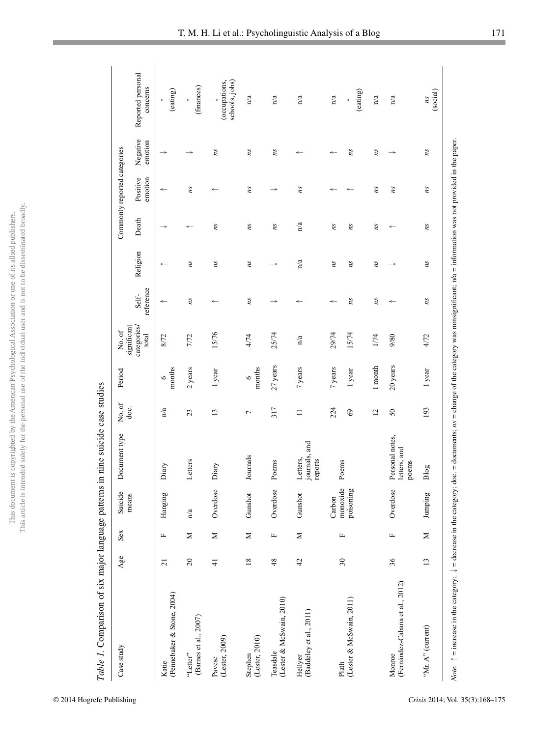|                      | i                    |
|----------------------|----------------------|
| ć                    |                      |
|                      |                      |
|                      |                      |
| ī                    |                      |
|                      |                      |
|                      |                      |
| í                    |                      |
|                      |                      |
|                      |                      |
| i                    |                      |
|                      |                      |
|                      |                      |
|                      |                      |
|                      |                      |
|                      |                      |
|                      | Í                    |
|                      |                      |
|                      |                      |
|                      |                      |
|                      |                      |
|                      |                      |
|                      |                      |
|                      |                      |
|                      |                      |
|                      |                      |
|                      |                      |
|                      |                      |
|                      |                      |
|                      |                      |
|                      |                      |
|                      |                      |
|                      |                      |
| ¢                    |                      |
|                      |                      |
|                      |                      |
| J<br>١               | $\ddot{\phantom{a}}$ |
| ì                    |                      |
|                      |                      |
|                      |                      |
| $\ddot{\phantom{a}}$ |                      |
|                      |                      |
|                      |                      |
| Ê                    |                      |
|                      |                      |
| Con                  |                      |
|                      |                      |
|                      |                      |
|                      |                      |
| <b>Secondary</b>     |                      |
|                      |                      |
|                      |                      |
|                      |                      |
| $\frac{1}{2}$        |                      |
| I                    |                      |
|                      |                      |
|                      | $\frac{1}{2}$        |
|                      |                      |
| ١                    | i                    |
| ì                    | ï                    |
|                      |                      |
| Û<br>ļ               |                      |
| $\frac{1}{2}$        |                      |
|                      |                      |
| í                    |                      |
| j                    |                      |
|                      |                      |
|                      |                      |
|                      |                      |
|                      |                      |
|                      |                      |
|                      |                      |
|                      |                      |
|                      |                      |
|                      |                      |
|                      |                      |
|                      |                      |
| $\frac{1}{2}$        |                      |
|                      |                      |
| $\frac{1}{1}$        |                      |
| ł                    | his ar               |
|                      | j                    |
|                      | ì                    |

| Case study                                | $Age$ e        | Sex          | Suicide               | Document type                            | No. of         | Period               | No. of                              |                    |               |              | Commonly reported categories |                     |                                                  |
|-------------------------------------------|----------------|--------------|-----------------------|------------------------------------------|----------------|----------------------|-------------------------------------|--------------------|---------------|--------------|------------------------------|---------------------|--------------------------------------------------|
|                                           |                |              | means                 |                                          | doc.           |                      | significant<br>categories/<br>total | reference<br>Self- | Religion      | Death        | Positive<br>emotion          | Negative<br>emotion | Reported personal<br>concerns                    |
| (Pennebaker & Stone, 2004)<br>Katie       | $\overline{c}$ | $\mathbf{r}$ | Hanging               | Diary                                    | n/a            | months<br>$\circ$    | 8/72                                |                    | $\leftarrow$  |              | $\leftarrow$                 |                     | (eating)                                         |
| (Barnes et al., $2007$ )<br>"Letter"      | $20\,$         | $\geq$       | n/a                   | Letters                                  | 23             | 2 years              | 7/72                                | ns                 | $\it ns$      |              | ns                           | $\rightarrow$       | $\uparrow$ (finances)                            |
| Pavese<br>(Lester, 2009)                  | $\overline{4}$ | $\geq$       | Overdose              | Diary                                    | 13             | 1 year               | 15/76                               | $\leftarrow$       | ns            | ns           | $\leftarrow$                 | ns                  | schools, jobs)<br>(occupations,<br>$\rightarrow$ |
| (Lester, 2010)<br>Stephen                 | $18\,$         | $\geq$       | Gunshot               | Journals                                 | $\overline{ }$ | months<br>$\circ$    | 4/74                                | ns                 | ns            | ns           | ns                           | ns                  | n'a                                              |
| Teasdale<br>(Lester & McSwain, 2010)      | $\frac{8}{3}$  | Щ            | Overdose              | Poems                                    | 317            | $27\,\mathrm{years}$ | 25/74                               | $\rightarrow$      | $\rightarrow$ | ns           | $\rightarrow$                | ns                  | n/a                                              |
| (Baddeley et al., 2011)<br>Hellyer        | $42$           | $\geq$       | Gunshot               | journals, and<br>Letters,<br>reports     | $\equiv$       | 7 years              | n/a                                 | $\leftarrow$       | n/a           | n/a          | ns                           | $\leftarrow$        | n/a                                              |
|                                           |                |              | Carbon                |                                          | 224            | 7 years              | 29/74                               | $\leftarrow$       | ns            | ns           | $\leftarrow$                 | $\leftarrow$        | n/a                                              |
| (Lester & McSwain, 2011)<br>Plath         | $30\,$         | Щ            | monoxide<br>poisoning | Poems                                    | $\mathcal{S}$  | 1 year               | 15/74                               | ns                 | ns            | ns           | $\leftarrow$                 | ns                  | (eating)                                         |
|                                           |                |              |                       |                                          | 12             | 1 month              | 1/74                                | Su                 | ns            | ns           | ns                           | ns                  | n/a                                              |
| (Fernández-Cabana et al., 2012)<br>Monroe | 36             | $\mathbb{L}$ | Overdose              | Personal notes,<br>letters, and<br>poems | $50\,$         | $20$ years           | 9/80                                | $\leftarrow$       |               | $\leftarrow$ | ns                           | $\rightarrow$       | n/a                                              |
| "Mr. A" (current)                         | 13             | Σ            | Jumping               | Blog                                     | 193            | 1 year               | 4/72                                | $\tilde{m}$        | ns            | ns           | ns                           | ns                  | (social)<br>ns                                   |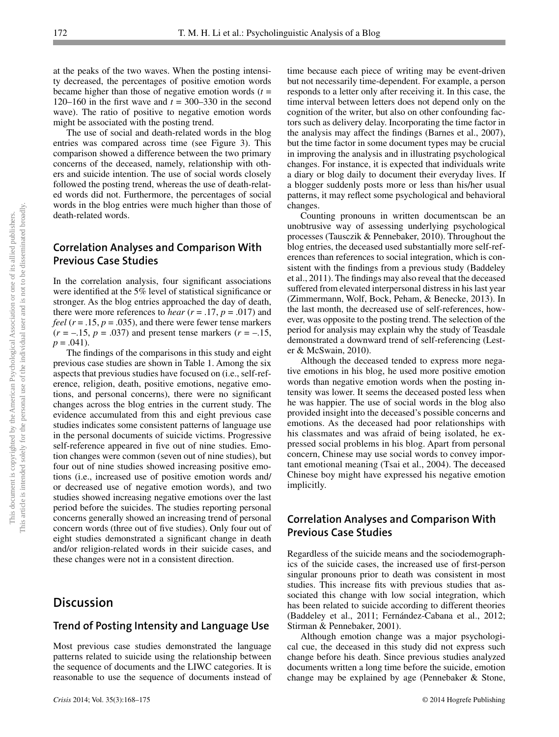at the peaks of the two waves. When the posting intensity decreased, the percentages of positive emotion words became higher than those of negative emotion words  $(t =$ 120–160 in the first wave and  $t = 300-330$  in the second wave). The ratio of positive to negative emotion words might be associated with the posting trend.

The use of social and death-related words in the blog entries was compared across time (see Figure 3). This comparison showed a difference between the two primary concerns of the deceased, namely, relationship with others and suicide intention. The use of social words closely followed the posting trend, whereas the use of death-related words did not. Furthermore, the percentages of social words in the blog entries were much higher than those of death-related words.

# **Correlation Analyses and Comparison With Previous Case Studies**

In the correlation analysis, four significant associations were identified at the 5% level of statistical significance or stronger. As the blog entries approached the day of death, there were more references to *hear*  $(r = .17, p = .017)$  and *feel* ( $r = .15$ ,  $p = .035$ ), and there were fewer tense markers  $(r = -.15, p = .037)$  and present tense markers  $(r = -.15,$  $p = .041$ ).

The findings of the comparisons in this study and eight previous case studies are shown in Table 1. Among the six aspects that previous studies have focused on (i.e., self-reference, religion, death, positive emotions, negative emotions, and personal concerns), there were no significant changes across the blog entries in the current study. The evidence accumulated from this and eight previous case studies indicates some consistent patterns of language use in the personal documents of suicide victims. Progressive self-reference appeared in five out of nine studies. Emotion changes were common (seven out of nine studies), but four out of nine studies showed increasing positive emotions (i.e., increased use of positive emotion words and/ or decreased use of negative emotion words), and two studies showed increasing negative emotions over the last period before the suicides. The studies reporting personal concerns generally showed an increasing trend of personal concern words (three out of five studies). Only four out of eight studies demonstrated a significant change in death and/or religion-related words in their suicide cases, and these changes were not in a consistent direction.

# **Discussion**

## **Trend of Posting Intensity and Language Use**

Most previous case studies demonstrated the language patterns related to suicide using the relationship between the sequence of documents and the LIWC categories. It is reasonable to use the sequence of documents instead of

*Crisis* 2014; Vol. 35(3):168–175 © 2014 Hogrefe Publishing

time because each piece of writing may be event-driven but not necessarily time-dependent. For example, a person responds to a letter only after receiving it. In this case, the time interval between letters does not depend only on the cognition of the writer, but also on other confounding factors such as delivery delay. Incorporating the time factor in the analysis may affect the findings (Barnes et al., 2007), but the time factor in some document types may be crucial in improving the analysis and in illustrating psychological changes. For instance, it is expected that individuals write a diary or blog daily to document their everyday lives. If a blogger suddenly posts more or less than his/her usual patterns, it may reflect some psychological and behavioral changes.

Counting pronouns in written documentscan be an unobtrusive way of assessing underlying psychological processes (Tausczik & Pennebaker, 2010). Throughout the blog entries, the deceased used substantially more self-references than references to social integration, which is consistent with the findings from a previous study (Baddeley et al., 2011). The findings may also reveal that the deceased suffered from elevated interpersonal distress in his last year (Zimmermann, Wolf, Bock, Peham, & Benecke, 2013). In the last month, the decreased use of self-references, however, was opposite to the posting trend. The selection of the period for analysis may explain why the study of Teasdale demonstrated a downward trend of self-referencing (Lester & McSwain, 2010).

Although the deceased tended to express more negative emotions in his blog, he used more positive emotion words than negative emotion words when the posting intensity was lower. It seems the deceased posted less when he was happier. The use of social words in the blog also provided insight into the deceased's possible concerns and emotions. As the deceased had poor relationships with his classmates and was afraid of being isolated, he expressed social problems in his blog. Apart from personal concern, Chinese may use social words to convey important emotional meaning (Tsai et al., 2004). The deceased Chinese boy might have expressed his negative emotion implicitly.

## **Correlation Analyses and Comparison With Previous Case Studies**

Regardless of the suicide means and the sociodemographics of the suicide cases, the increased use of first-person singular pronouns prior to death was consistent in most studies. This increase fits with previous studies that associated this change with low social integration, which has been related to suicide according to different theories (Baddeley et al., 2011; Fernández-Cabana et al., 2012; Stirman & Pennebaker, 2001).

Although emotion change was a major psychological cue, the deceased in this study did not express such change before his death. Since previous studies analyzed documents written a long time before the suicide, emotion change may be explained by age (Pennebaker & Stone,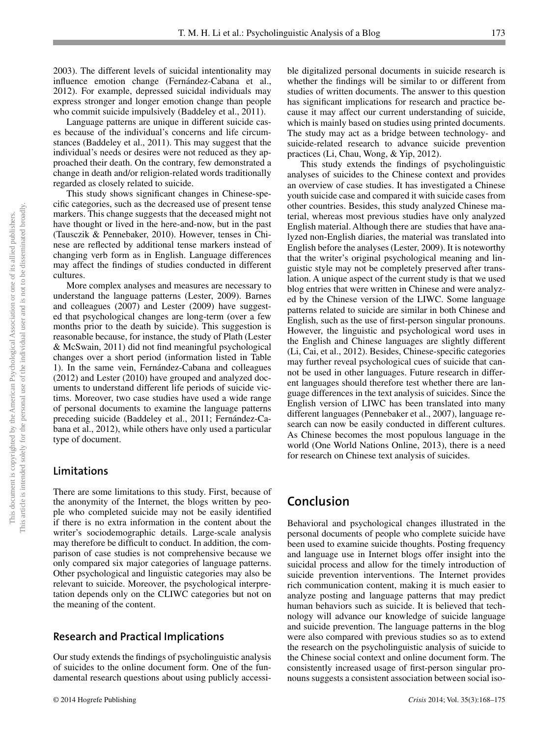2003). The different levels of suicidal intentionality may influence emotion change (Fernández-Cabana et al., 2012). For example, depressed suicidal individuals may express stronger and longer emotion change than people who commit suicide impulsively (Baddeley et al., 2011).

Language patterns are unique in different suicide cases because of the individual's concerns and life circumstances (Baddeley et al., 2011). This may suggest that the individual's needs or desires were not reduced as they approached their death. On the contrary, few demonstrated a change in death and/or religion-related words traditionally regarded as closely related to suicide.

This study shows significant changes in Chinese-specific categories, such as the decreased use of present tense markers. This change suggests that the deceased might not have thought or lived in the here-and-now, but in the past (Tausczik & Pennebaker, 2010). However, tenses in Chinese are reflected by additional tense markers instead of changing verb form as in English. Language differences may affect the findings of studies conducted in different cultures.

More complex analyses and measures are necessary to understand the language patterns (Lester, 2009). Barnes and colleagues (2007) and Lester (2009) have suggested that psychological changes are long-term (over a few months prior to the death by suicide). This suggestion is reasonable because, for instance, the study of Plath (Lester  $&$  McSwain, 2011) did not find meaningful psychological changes over a short period (information listed in Table 1). In the same vein, Fernández-Cabana and colleagues (2012) and Lester (2010) have grouped and analyzed documents to understand different life periods of suicide victims. Moreover, two case studies have used a wide range of personal documents to examine the language patterns preceding suicide (Baddeley et al., 2011; Fernández-Cabana et al., 2012), while others have only used a particular type of document.

#### **Limitations**

There are some limitations to this study. First, because of the anonymity of the Internet, the blogs written by people who completed suicide may not be easily identified if there is no extra information in the content about the writer's sociodemographic details. Large-scale analysis may therefore be difficult to conduct. In addition, the comparison of case studies is not comprehensive because we only compared six major categories of language patterns. Other psychological and linguistic categories may also be relevant to suicide. Moreover, the psychological interpretation depends only on the CLIWC categories but not on the meaning of the content.

## **Research and Practical Implications**

Our study extends the findings of psycholinguistic analysis of suicides to the online document form. One of the fundamental research questions about using publicly accessible digitalized personal documents in suicide research is whether the findings will be similar to or different from studies of written documents. The answer to this question has significant implications for research and practice because it may affect our current understanding of suicide, which is mainly based on studies using printed documents. The study may act as a bridge between technology- and suicide-related research to advance suicide prevention practices (Li, Chau, Wong, & Yip, 2012).

This study extends the findings of psycholinguistic analyses of suicides to the Chinese context and provides an overview of case studies. It has investigated a Chinese youth suicide case and compared it with suicide cases from other countries. Besides, this study analyzed Chinese material, whereas most previous studies have only analyzed English material. Although there are studies that have analyzed non-English diaries, the material was translated into English before the analyses (Lester, 2009). It is noteworthy that the writer's original psychological meaning and linguistic style may not be completely preserved after translation. A unique aspect of the current study is that we used blog entries that were written in Chinese and were analyzed by the Chinese version of the LIWC. Some language patterns related to suicide are similar in both Chinese and English, such as the use of first-person singular pronouns. However, the linguistic and psychological word uses in the English and Chinese languages are slightly different (Li, Cai, et al., 2012). Besides, Chinese-specific categories may further reveal psychological cues of suicide that cannot be used in other languages. Future research in different languages should therefore test whether there are language differences in the text analysis of suicides. Since the English version of LIWC has been translated into many different languages (Pennebaker et al., 2007), language research can now be easily conducted in different cultures. As Chinese becomes the most populous language in the world (One World Nations Online, 2013), there is a need for research on Chinese text analysis of suicides.

# **Conclusion**

Behavioral and psychological changes illustrated in the personal documents of people who complete suicide have been used to examine suicide thoughts. Posting frequency and language use in Internet blogs offer insight into the suicidal process and allow for the timely introduction of suicide prevention interventions. The Internet provides rich communication content, making it is much easier to analyze posting and language patterns that may predict human behaviors such as suicide. It is believed that technology will advance our knowledge of suicide language and suicide prevention. The language patterns in the blog were also compared with previous studies so as to extend the research on the psycholinguistic analysis of suicide to the Chinese social context and online document form. The consistently increased usage of first-person singular pronouns suggests a consistent association between social iso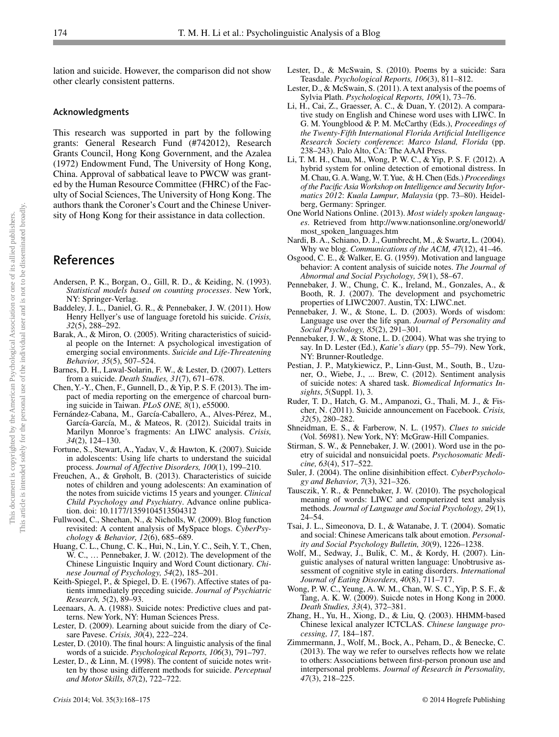lation and suicide. However, the comparison did not show other clearly consistent patterns.

#### **Acknowledgments**

This research was supported in part by the following grants: General Research Fund (#742012), Research Grants Council, Hong Kong Government, and the Azalea (1972) Endowment Fund, The University of Hong Kong, China. Approval of sabbatical leave to PWCW was granted by the Human Resource Committee (FHRC) of the Faculty of Social Sciences, The University of Hong Kong. The authors thank the Coroner's Court and the Chinese University of Hong Kong for their assistance in data collection.

# **References**

- Andersen, P. K., Borgan, O., Gill, R. D., & Keiding, N. (1993). *Statistical models based on counting processes*. New York, NY: Springer-Verlag.
- Baddeley, J. L., Daniel, G. R., & Pennebaker, J. W. (2011). How Henry Hellyer's use of language foretold his suicide. *Crisis, 32*(5), 288–292.
- Barak, A., & Miron, O. (2005). Writing characteristics of suicidal people on the Internet: A psychological investigation of emerging social environments. *Suicide and Life-Threatening Behavior, 35*(5), 507–524.
- Barnes, D. H., Lawal-Solarin, F. W., & Lester, D. (2007). Letters from a suicide. *Death Studies, 31*(7), 671–678.
- Chen, Y.-Y., Chen, F., Gunnell, D., & Yip, P. S. F. (2013). The impact of media reporting on the emergence of charcoal burning suicide in Taiwan. *PLoS ONE, 8*(1), e55000.
- Fernández-Cabana, M., García-Caballero, A., Alves-Pérez, M., García-García, M., & Mateos, R. (2012). Suicidal traits in Marilyn Monroe's fragments: An LIWC analysis. *Crisis, 34*(2), 124–130.
- Fortune, S., Stewart, A., Yadav, V., & Hawton, K. (2007). Suicide in adolescents: Using life charts to understand the suicidal process. *Journal of Affective Disorders, 100*(1), 199–210.
- Freuchen, A., & Grøholt, B. (2013). Characteristics of suicide notes of children and young adolescents: An examination of the notes from suicide victims 15 years and younger. *Clinical Child Psychology and Psychiatry*. Advance online publication. doi: 10.1177/1359104513504312
- Fullwood, C., Sheehan, N., & Nicholls, W. (2009). Blog function revisited: A content analysis of MySpace blogs. *CyberPsychology & Behavior, 12*(6), 685–689.
- Huang, C. L., Chung, C. K., Hui, N., Lin, Y. C., Seih, Y. T., Chen, W. C., … Pennebaker, J. W. (2012). The development of the Chinese Linguistic Inquiry and Word Count dictionary. *Chinese Journal of Psychology, 54*(2), 185–201.
- Keith-Spiegel, P., & Spiegel, D. E. (1967). Affective states of patients immediately preceding suicide. *Journal of Psychiatric Research, 5*(2), 89–93.
- Leenaars, A. A. (1988). Suicide notes: Predictive clues and patterns. New York, NY: Human Sciences Press.
- Lester, D. (2009). Learning about suicide from the diary of Cesare Pavese. *Crisis, 30*(4), 222–224.
- Lester, D. (2010). The final hours: A linguistic analysis of the final words of a suicide. *Psychological Reports, 106*(3), 791–797.
- Lester, D., & Linn, M. (1998). The content of suicide notes written by those using different methods for suicide. *Perceptual and Motor Skills, 87*(2), 722–722.
- Lester, D., & McSwain, S. (2010). Poems by a suicide: Sara Teasdale. *Psychological Reports, 106*(3), 811–812.
- Lester, D., & McSwain, S. (2011). A text analysis of the poems of Sylvia Plath. *Psychological Reports, 109*(1), 73–76.
- Li, H., Cai, Z., Graesser, A. C., & Duan, Y. (2012). A comparative study on English and Chinese word uses with LIWC. In G. M. Youngblood & P. M. McCarthy (Eds.), *Proceedings of the Twenty-Fifth International Florida Artificial Intelligence Research Society conference*: *Marco Island, Florida* (pp. 238–243). Palo Alto, CA: The AAAI Press.
- Li, T. M. H., Chau, M., Wong, P. W. C., & Yip, P. S. F. (2012). A hybrid system for online detection of emotional distress. In M. Chau, G. A. Wang, W. T. Yue, & H. Chen (Eds.) *Proceedings*  of the Pacific Asia Workshop on Intelligence and Security Infor*matics 2012*: *Kuala Lumpur, Malaysia* (pp. 73–80). Heidelberg, Germany: Springer.
- One World Nations Online. (2013). *Most widely spoken languages*. Retrieved from http://www.nationsonline.org/oneworld/ most\_spoken\_languages.htm
- Nardi, B. A., Schiano, D. J., Gumbrecht, M., & Swartz, L. (2004). Why we blog. *Communications of the ACM, 47*(12), 41–46.
- Osgood, C. E. , & Walker, E. G. (1959). Motivation and language behavior: A content analysis of suicide notes. *The Journal of Abnormal and Social Psychology, 59*(1), 58–67.
- Pennebaker, J. W., Chung, C. K., Ireland, M., Gonzales, A., & Booth, R. J. (2007). The development and psychometric properties of LIWC2007. Austin, TX: LIWC.net.
- Pennebaker, J. W., & Stone, L. D. (2003). Words of wisdom: Language use over the life span. *Journal of Personality and Social Psychology, 85*(2), 291–301.
- Pennebaker, J. W., & Stone, L. D. (2004). What was she trying to say. In D. Lester (Ed.), *Katie's diary* (pp. 55–79). New York, NY: Brunner-Routledge.
- Pestian, J. P., Matykiewicz, P., Linn-Gust, M., South, B., Uzuner, O., Wiebe, J., ... Brew, C. (2012). Sentiment analysis of suicide notes: A shared task. *Biomedical Informatics Insights*, *5*(Suppl. 1), 3.
- Ruder, T. D., Hatch, G. M., Ampanozi, G., Thali, M. J., & Fischer, N. (2011). Suicide announcement on Facebook. *Crisis, 32*(5), 280–282.
- Shneidman, E. S., & Farberow, N. L. (1957). *Clues to suicide* (Vol. 56981). New York, NY: McGraw-Hill Companies.
- Stirman, S. W., & Pennebaker, J. W. (2001). Word use in the poetry of suicidal and nonsuicidal poets. *Psychosomatic Medicine, 63*(4), 517–522.
- Suler, J. (2004). The online disinhibition effect. *CyberPsychology and Behavior, 7*(3), 321–326.
- Tausczik, Y. R., & Pennebaker, J. W. (2010). The psychological meaning of words: LIWC and computerized text analysis methods. *Journal of Language and Social Psychology, 29*(1), 24–54.
- Tsai, J. L., Simeonova, D. I., & Watanabe, J. T. (2004). Somatic and social: Chinese Americans talk about emotion. *Personality and Social Psychology Bulletin, 30*(9), 1226–1238.
- Wolf, M., Sedway, J., Bulik, C. M., & Kordy, H. (2007). Linguistic analyses of natural written language: Unobtrusive assessment of cognitive style in eating disorders. *International Journal of Eating Disorders, 40*(8), 711–717.
- Wong, P. W. C., Yeung, A. W. M., Chan, W. S. C., Yip, P. S. F., & Tang, A. K. W. (2009). Suicde notes in Hong Kong in 2000. *Death Studies, 33*(4), 372–381.
- Zhang, H., Yu, H., Xiong, D., & Liu, Q. (2003). HHMM-based Chinese lexical analyzer ICTCLAS. *Chinese language processing, 17,* 184–187.
- Zimmermann, J., Wolf, M., Bock, A., Peham, D., & Benecke, C.  $(2013)$ . The way we refer to ourselves reflects how we relate to others: Associations between first-person pronoun use and interpersonal problems. *Journal of Research in Personality, 47*(3), 218–225.